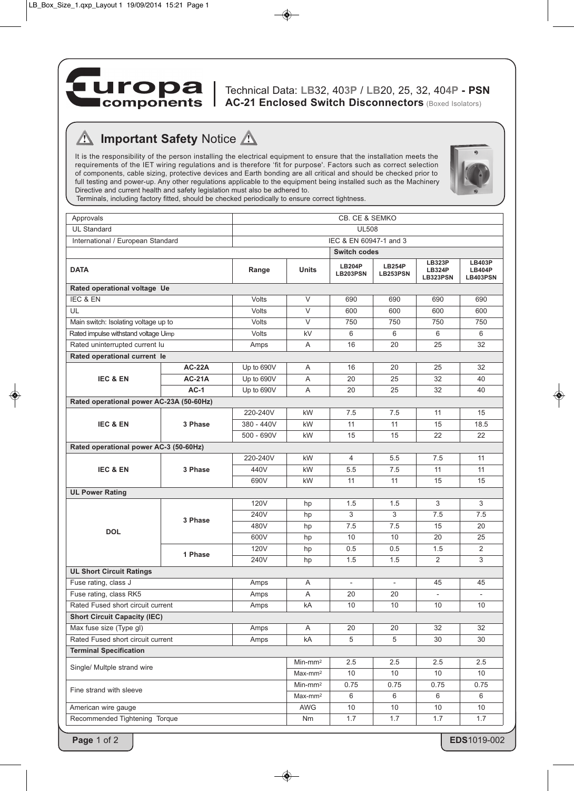

Technical Data: **LB**32, 40**3P** / **LB**20, 25, 32, 40**4P - PSN AC-21 Enclosed Switch Disconnectors** (Boxed Isolators)

## **Important Safety Notice A**  $\sqrt{N}$

It is the responsibility of the person installing the electrical equipment to ensure that the installation meets the requirements of the IET wiring regulations and is therefore 'fit for purpose'. Factors such as correct selection of components, cable sizing, protective devices and Earth bonding are all critical and should be checked prior to full testing and power-up. Any other regulations applicable to the equipment being installed such as the Machinery Directive and current health and safety legislation must also be adhered to.



Terminals, including factory fitted, should be checked periodically to ensure correct tightness.

| Approvals                                                           |               | CB. CE & SEMKO         |                     |                           |                           |                                            |                                                   |
|---------------------------------------------------------------------|---------------|------------------------|---------------------|---------------------------|---------------------------|--------------------------------------------|---------------------------------------------------|
| <b>UL Standard</b>                                                  |               | <b>UL508</b>           |                     |                           |                           |                                            |                                                   |
| International / European Standard                                   |               | IEC & EN 60947-1 and 3 |                     |                           |                           |                                            |                                                   |
|                                                                     |               | <b>Switch codes</b>    |                     |                           |                           |                                            |                                                   |
| <b>DATA</b>                                                         |               | Range                  | <b>Units</b>        | <b>LB204P</b><br>LB203PSN | <b>LB254P</b><br>LB253PSN | <b>LB323P</b><br><b>LB324P</b><br>LB323PSN | <b>LB403P</b><br><b>LB404P</b><br><b>LB403PSN</b> |
| Rated operational voltage Ue                                        |               |                        |                     |                           |                           |                                            |                                                   |
| IEC & EN                                                            |               | <b>Volts</b>           | V                   | 690                       | 690                       | 690                                        | 690                                               |
| UL                                                                  |               | Volts                  | V                   | 600                       | 600                       | 600                                        | 600                                               |
| Main switch: Isolating voltage up to                                |               | Volts                  | $\vee$              | 750                       | 750                       | 750                                        | 750                                               |
| Rated impulse withstand voltage Uimp                                |               | Volts                  | kV                  | 6                         | 6                         | 6                                          | 6                                                 |
| Rated uninterrupted current lu                                      |               | Amps                   | A                   | 16                        | 20                        | 25                                         | 32                                                |
| Rated operational current le                                        |               |                        |                     |                           |                           |                                            |                                                   |
| <b>IEC &amp; EN</b>                                                 | <b>AC-22A</b> | Up to 690V             | A                   | 16                        | 20                        | 25                                         | 32                                                |
|                                                                     | <b>AC-21A</b> | Up to 690V             | A                   | 20                        | 25                        | 32                                         | 40                                                |
|                                                                     | $AC-1$        | Up to 690V             | Α                   | 20                        | 25                        | 32                                         | 40                                                |
| Rated operational power AC-23A (50-60Hz)                            |               |                        |                     |                           |                           |                                            |                                                   |
| <b>IEC &amp; EN</b>                                                 | 3 Phase       | 220-240V               | kW                  | 7.5                       | 7.5                       | 11                                         | 15                                                |
|                                                                     |               | 380 - 440V             | kW                  | 11                        | 11                        | 15                                         | 18.5                                              |
|                                                                     |               | $500 - 690V$           | kW                  | 15                        | 15                        | 22                                         | 22                                                |
| Rated operational power AC-3 (50-60Hz)                              |               |                        |                     |                           |                           |                                            |                                                   |
| <b>IEC &amp; EN</b>                                                 | 3 Phase       | 220-240V               | kW                  | 4                         | 5.5                       | 7.5                                        | 11                                                |
|                                                                     |               | 440V                   | kW                  | 5.5                       | 7.5                       | 11                                         | 11                                                |
|                                                                     |               | 690V                   | kW                  | 11                        | 11                        | 15                                         | 15                                                |
| <b>UL Power Rating</b>                                              |               |                        |                     |                           |                           |                                            |                                                   |
| <b>DOL</b>                                                          | 3 Phase       | <b>120V</b>            | hp                  | 1.5                       | 1.5                       | 3                                          | 3                                                 |
|                                                                     |               | 240V                   | hp                  | 3                         | 3                         | 7.5                                        | 7.5                                               |
|                                                                     |               | 480V                   | hp                  | 7.5                       | 7.5                       | 15                                         | 20                                                |
|                                                                     |               | 600V                   | hp                  | 10                        | 10                        | 20                                         | 25                                                |
|                                                                     | 1 Phase       | 120V                   | hp                  | 0.5                       | 0.5                       | 1.5                                        | 2                                                 |
|                                                                     |               | 240V                   | hp                  | 1.5                       | 1.5                       | $\overline{2}$                             | 3                                                 |
| <b>UL Short Circuit Ratings</b>                                     |               |                        |                     |                           |                           |                                            |                                                   |
| Fuse rating, class J                                                |               | Amps                   | Α                   | $\overline{\phantom{a}}$  | $\blacksquare$            | 45                                         | 45                                                |
| Fuse rating, class RK5                                              |               | Amps                   | Α                   | 20                        | 20                        |                                            |                                                   |
| Rated Fused short circuit current<br>10<br>10<br>kA<br>$10$<br>Amps |               |                        |                     |                           |                           | $10$                                       |                                                   |
| <b>Short Circuit Capacity (IEC)</b>                                 |               |                        |                     |                           |                           |                                            |                                                   |
| Max fuse size (Type gl)                                             |               | Amps                   | A                   | 20                        | 20                        | 32                                         | 32                                                |
| Rated Fused short circuit current                                   |               | Amps                   | kA                  | $\overline{5}$            | $\,$ 5 $\,$               | 30                                         | 30                                                |
| <b>Terminal Specification</b>                                       |               |                        |                     |                           |                           |                                            |                                                   |
| Single/ Multple strand wire                                         |               |                        | Min-mm <sup>2</sup> | 2.5                       | 2.5                       | 2.5                                        | $2.5\,$                                           |
|                                                                     |               |                        | Max-mm <sup>2</sup> | 10                        | 10                        | 10                                         | 10                                                |
| Fine strand with sleeve                                             |               |                        | Min-mm <sup>2</sup> | 0.75                      | 0.75                      | 0.75                                       | 0.75                                              |
|                                                                     |               |                        | Max-mm <sup>2</sup> | 6                         | 6                         | 6                                          | 6                                                 |
| American wire gauge<br>Recommended Tightening Torque                |               |                        | AWG                 | 10                        | 10                        | 10                                         | 10                                                |
|                                                                     |               |                        | Nm                  | 1.7                       | 1.7                       | 1.7                                        | 1.7                                               |